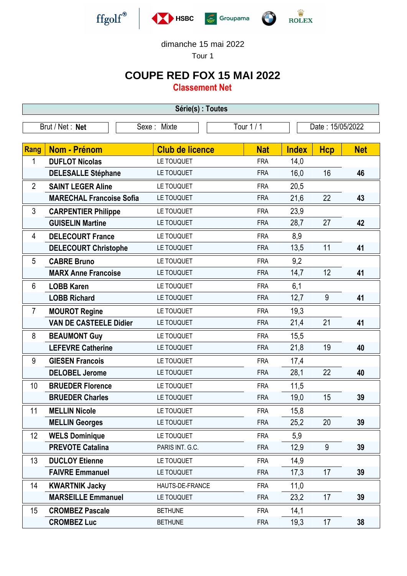

dimanche 15 mai 2022

Tour 1

## **COUPE RED FOX 15 MAI 2022**

**Classement Net**

| Série(s) : Toutes                            |                                 |                        |            |                  |            |            |  |
|----------------------------------------------|---------------------------------|------------------------|------------|------------------|------------|------------|--|
| Tour 1 / 1<br>Brut / Net: Net<br>Sexe: Mixte |                                 |                        |            | Date: 15/05/2022 |            |            |  |
|                                              |                                 |                        |            |                  |            |            |  |
| Rang                                         | <b>Nom - Prénom</b>             | <b>Club de licence</b> | <b>Nat</b> | <b>Index</b>     | <b>Hcp</b> | <b>Net</b> |  |
| 1                                            | <b>DUFLOT Nicolas</b>           | LE TOUQUET             | <b>FRA</b> | 14,0             |            |            |  |
|                                              | <b>DELESALLE Stéphane</b>       | LE TOUQUET             | <b>FRA</b> | 16,0             | 16         | 46         |  |
| $\overline{2}$                               | <b>SAINT LEGER Aline</b>        | LE TOUQUET             | <b>FRA</b> | 20,5             |            |            |  |
|                                              | <b>MARECHAL Francoise Sofia</b> | LE TOUQUET             | <b>FRA</b> | 21,6             | 22         | 43         |  |
| 3                                            | <b>CARPENTIER Philippe</b>      | LE TOUQUET             | <b>FRA</b> | 23,9             |            |            |  |
|                                              | <b>GUISELIN Martine</b>         | LE TOUQUET             | <b>FRA</b> | 28,7             | 27         | 42         |  |
| 4                                            | <b>DELECOURT France</b>         | LE TOUQUET             | <b>FRA</b> | 8,9              |            |            |  |
|                                              | <b>DELECOURT Christophe</b>     | LE TOUQUET             | <b>FRA</b> | 13,5             | 11         | 41         |  |
| 5                                            | <b>CABRE Bruno</b>              | LE TOUQUET             | <b>FRA</b> | 9,2              |            |            |  |
|                                              | <b>MARX Anne Francoise</b>      | LE TOUQUET             | <b>FRA</b> | 14,7             | 12         | 41         |  |
| 6                                            | <b>LOBB Karen</b>               | LE TOUQUET             | <b>FRA</b> | 6,1              |            |            |  |
|                                              | <b>LOBB Richard</b>             | LE TOUQUET             | <b>FRA</b> | 12,7             | 9          | 41         |  |
| $\overline{7}$                               | <b>MOUROT Regine</b>            | LE TOUQUET             | <b>FRA</b> | 19,3             |            |            |  |
|                                              | <b>VAN DE CASTEELE Didier</b>   | LE TOUQUET             | <b>FRA</b> | 21,4             | 21         | 41         |  |
| 8                                            | <b>BEAUMONT Guy</b>             | LE TOUQUET             | <b>FRA</b> | 15,5             |            |            |  |
|                                              | <b>LEFEVRE Catherine</b>        | LE TOUQUET             | <b>FRA</b> | 21,8             | 19         | 40         |  |
| 9                                            | <b>GIESEN Francois</b>          | LE TOUQUET             | <b>FRA</b> | 17,4             |            |            |  |
|                                              | <b>DELOBEL Jerome</b>           | LE TOUQUET             | <b>FRA</b> | 28,1             | 22         | 40         |  |
| 10                                           | <b>BRUEDER Florence</b>         | LE TOUQUET             | <b>FRA</b> | 11,5             |            |            |  |
|                                              | <b>BRUEDER Charles</b>          | LE TOUQUET             | <b>FRA</b> | 19,0             | 15         | 39         |  |
| 11                                           | <b>MELLIN Nicole</b>            | LE TOUQUET             | <b>FRA</b> | 15,8             |            |            |  |
|                                              | <b>MELLIN Georges</b>           | LE TOUQUET             | <b>FRA</b> | 25,2             | 20         | 39         |  |
| 12                                           | <b>WELS Dominique</b>           | LE TOUQUET             | <b>FRA</b> | 5,9              |            |            |  |
|                                              | <b>PREVOTE Catalina</b>         | PARIS INT. G.C.        | <b>FRA</b> | 12,9             | 9          | 39         |  |
| 13                                           | <b>DUCLOY Etienne</b>           | LE TOUQUET             | <b>FRA</b> | 14,9             |            |            |  |
|                                              | <b>FAIVRE Emmanuel</b>          | LE TOUQUET             | <b>FRA</b> | 17,3             | 17         | 39         |  |
| 14                                           | <b>KWARTNIK Jacky</b>           | HAUTS-DE-FRANCE        | <b>FRA</b> | 11,0             |            |            |  |
|                                              | <b>MARSEILLE Emmanuel</b>       | LE TOUQUET             | <b>FRA</b> | 23,2             | 17         | 39         |  |
| 15                                           | <b>CROMBEZ Pascale</b>          | <b>BETHUNE</b>         | <b>FRA</b> | 14,1             |            |            |  |
|                                              | <b>CROMBEZ Luc</b>              | <b>BETHUNE</b>         | <b>FRA</b> | 19,3             | 17         | 38         |  |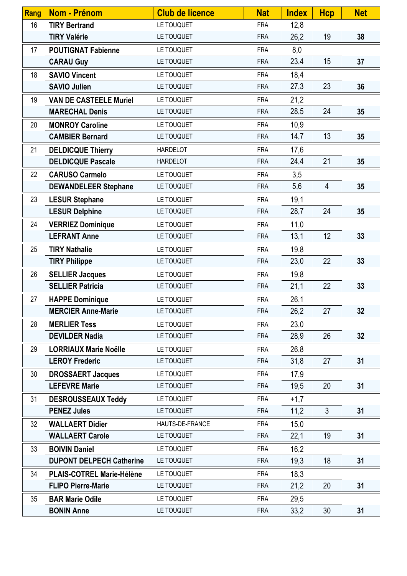| Rang | <b>Nom - Prénom</b>              | <b>Club de licence</b> | <b>Nat</b> | <b>Index</b> | <b>Hcp</b>     | <b>Net</b> |
|------|----------------------------------|------------------------|------------|--------------|----------------|------------|
| 16   | <b>TIRY Bertrand</b>             | LE TOUQUET             | <b>FRA</b> | 12,8         |                |            |
|      | <b>TIRY Valérie</b>              | LE TOUQUET             | <b>FRA</b> | 26,2         | 19             | 38         |
| 17   | <b>POUTIGNAT Fabienne</b>        | LE TOUQUET             | <b>FRA</b> | 8,0          |                |            |
|      | <b>CARAU Guy</b>                 | LE TOUQUET             | <b>FRA</b> | 23,4         | 15             | 37         |
| 18   | <b>SAVIO Vincent</b>             | LE TOUQUET             | <b>FRA</b> | 18,4         |                |            |
|      | <b>SAVIO Julien</b>              | LE TOUQUET             | <b>FRA</b> | 27,3         | 23             | 36         |
| 19   | <b>VAN DE CASTEELE Muriel</b>    | LE TOUQUET             | <b>FRA</b> | 21,2         |                |            |
|      | <b>MARECHAL Denis</b>            | LE TOUQUET             | <b>FRA</b> | 28,5         | 24             | 35         |
| 20   | <b>MONROY Caroline</b>           | LE TOUQUET             | <b>FRA</b> | 10,9         |                |            |
|      | <b>CAMBIER Bernard</b>           | LE TOUQUET             | <b>FRA</b> | 14,7         | 13             | 35         |
| 21   | <b>DELDICQUE Thierry</b>         | <b>HARDELOT</b>        | <b>FRA</b> | 17,6         |                |            |
|      | <b>DELDICQUE Pascale</b>         | <b>HARDELOT</b>        | <b>FRA</b> | 24,4         | 21             | 35         |
| 22   | <b>CARUSO Carmelo</b>            | LE TOUQUET             | <b>FRA</b> | 3,5          |                |            |
|      | <b>DEWANDELEER Stephane</b>      | LE TOUQUET             | <b>FRA</b> | 5,6          | 4              | 35         |
| 23   | <b>LESUR Stephane</b>            | LE TOUQUET             | <b>FRA</b> | 19,1         |                |            |
|      | <b>LESUR Delphine</b>            | LE TOUQUET             | <b>FRA</b> | 28,7         | 24             | 35         |
| 24   | <b>VERRIEZ Dominique</b>         | LE TOUQUET             | <b>FRA</b> | 11,0         |                |            |
|      | <b>LEFRANT Anne</b>              | LE TOUQUET             | <b>FRA</b> | 13,1         | 12             | 33         |
| 25   | <b>TIRY Nathalie</b>             | LE TOUQUET             | <b>FRA</b> | 19,8         |                |            |
|      | <b>TIRY Philippe</b>             | LE TOUQUET             | <b>FRA</b> | 23,0         | 22             | 33         |
| 26   | <b>SELLIER Jacques</b>           | LE TOUQUET             | <b>FRA</b> | 19,8         |                |            |
|      | <b>SELLIER Patricia</b>          | LE TOUQUET             | <b>FRA</b> | 21,1         | 22             | 33         |
| 27   | <b>HAPPE Dominique</b>           | LE TOUQUET             | <b>FRA</b> | 26,1         |                |            |
|      | <b>MERCIER Anne-Marie</b>        | LE TOUQUET             | <b>FRA</b> | 26,2         | 27             | 32         |
| 28   | <b>MERLIER Tess</b>              | LE TOUQUET             | <b>FRA</b> | 23,0         |                |            |
|      | <b>DEVILDER Nadia</b>            | LE TOUQUET             | <b>FRA</b> | 28,9         | 26             | 32         |
| 29   | <b>LORRIAUX Marie Noëlle</b>     | LE TOUQUET             | <b>FRA</b> | 26,8         |                |            |
|      | <b>LEROY Frederic</b>            | LE TOUQUET             | <b>FRA</b> | 31,8         | 27             | 31         |
| 30   | <b>DROSSAERT Jacques</b>         | LE TOUQUET             | <b>FRA</b> | 17,9         |                |            |
|      | <b>LEFEVRE Marie</b>             | LE TOUQUET             | <b>FRA</b> | 19,5         | 20             | 31         |
| 31   | <b>DESROUSSEAUX Teddy</b>        | LE TOUQUET             | <b>FRA</b> | $+1,7$       |                |            |
|      | <b>PENEZ Jules</b>               | LE TOUQUET             | <b>FRA</b> | 11,2         | $\mathfrak{Z}$ | 31         |
| 32   | <b>WALLAERT Didier</b>           | HAUTS-DE-FRANCE        | <b>FRA</b> | 15,0         |                |            |
|      | <b>WALLAERT Carole</b>           | LE TOUQUET             | <b>FRA</b> | 22,1         | 19             | 31         |
| 33   | <b>BOIVIN Daniel</b>             | LE TOUQUET             | <b>FRA</b> | 16,2         |                |            |
|      | <b>DUPONT DELPECH Catherine</b>  | LE TOUQUET             | <b>FRA</b> | 19,3         | 18             | 31         |
| 34   | <b>PLAIS-COTREL Marie-Hélène</b> | LE TOUQUET             | <b>FRA</b> | 18,3         |                |            |
|      | <b>FLIPO Pierre-Marie</b>        | LE TOUQUET             | <b>FRA</b> | 21,2         | 20             | 31         |
| 35   | <b>BAR Marie Odile</b>           | LE TOUQUET             | <b>FRA</b> | 29,5         |                |            |
|      | <b>BONIN Anne</b>                | LE TOUQUET             | <b>FRA</b> | 33,2         | 30             | 31         |